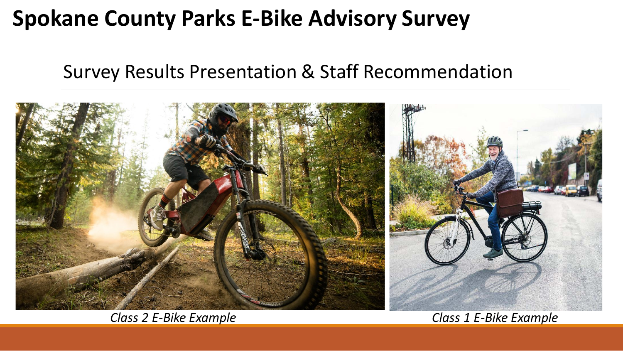# **Spokane County Parks E-Bike Advisory Survey**

### Survey Results Presentation & Staff Recommendation



*Class 2 E-Bike Example Class 1 E-Bike Example*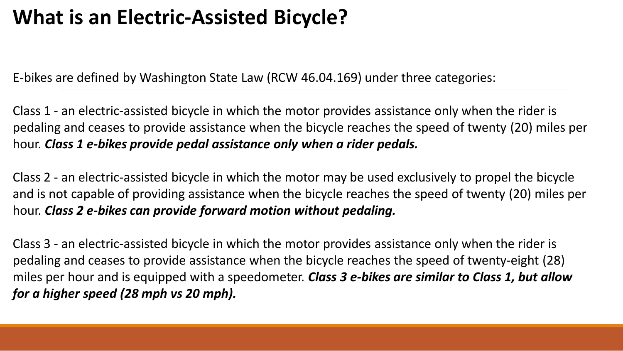# **What is an Electric-Assisted Bicycle?**

E-bikes are defined by Washington State Law (RCW 46.04.169) under three categories:

Class 1 - an electric-assisted bicycle in which the motor provides assistance only when the rider is pedaling and ceases to provide assistance when the bicycle reaches the speed of twenty (20) miles per hour. *Class 1 e-bikes provide pedal assistance only when a rider pedals.*

Class 2 - an electric-assisted bicycle in which the motor may be used exclusively to propel the bicycle and is not capable of providing assistance when the bicycle reaches the speed of twenty (20) miles per hour. *Class 2 e-bikes can provide forward motion without pedaling.*

Class 3 - an electric-assisted bicycle in which the motor provides assistance only when the rider is pedaling and ceases to provide assistance when the bicycle reaches the speed of twenty-eight (28) miles per hour and is equipped with a speedometer. *Class 3 e-bikes are similar to Class 1, but allow for a higher speed (28 mph vs 20 mph).*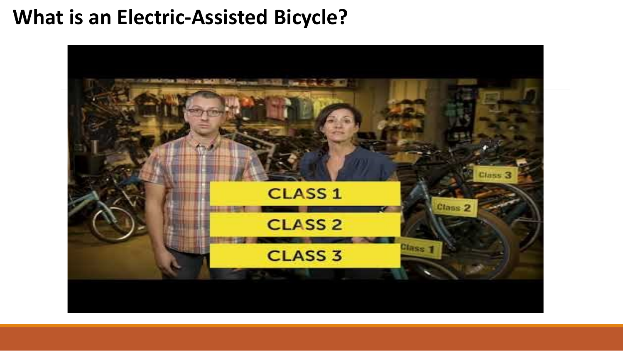### **What is an Electric-Assisted Bicycle?**

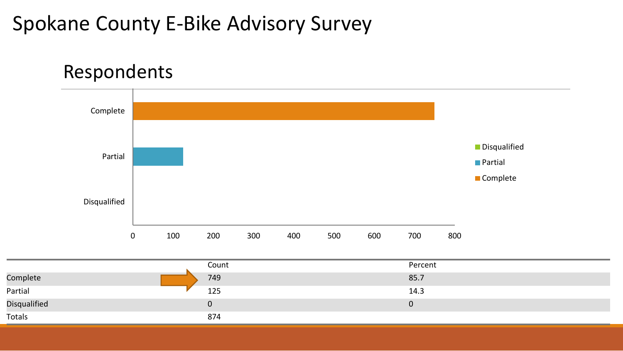## Spokane County E-Bike Advisory Survey

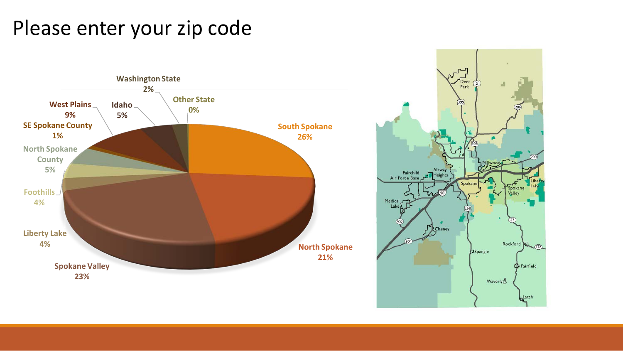## Please enter your zip code

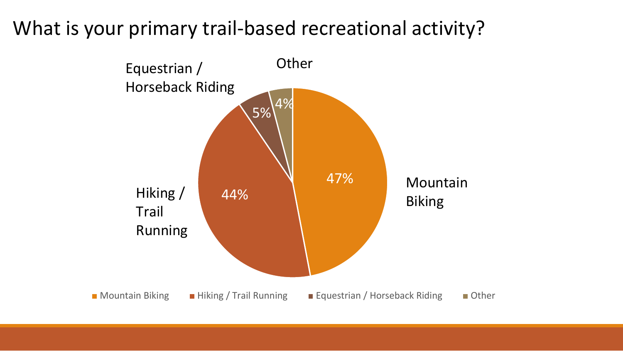### What is your primary trail-based recreational activity?

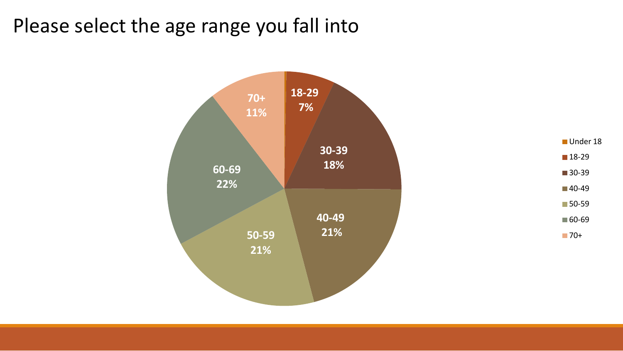### Please select the age range you fall into

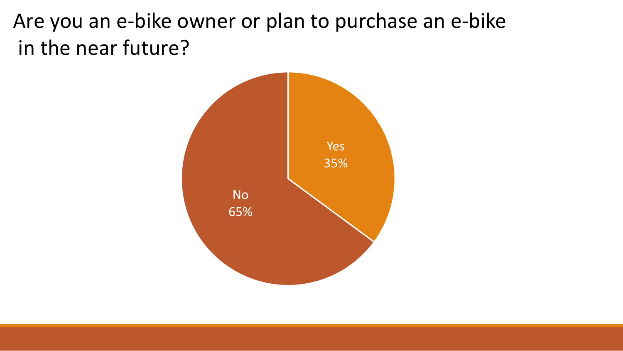Are you an e-bike owner or plan to purchase an e-bike in the near future?

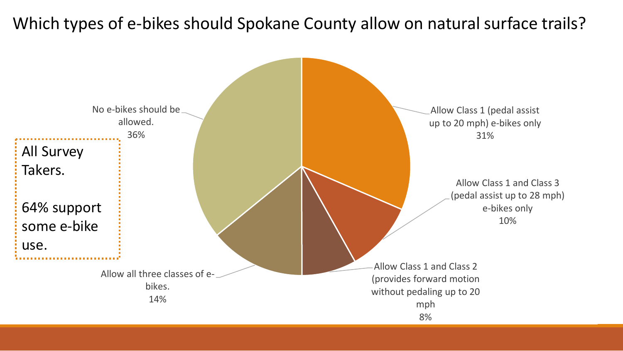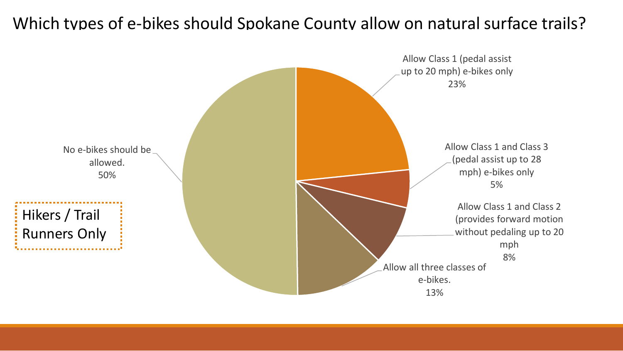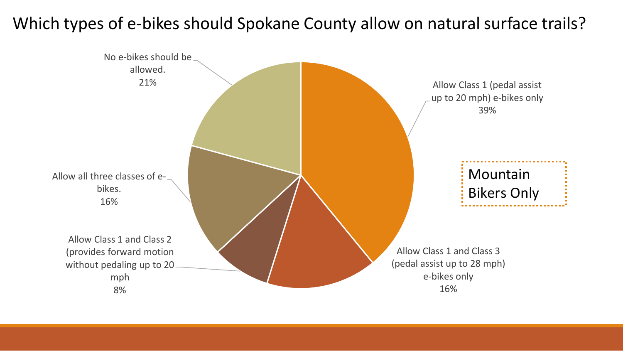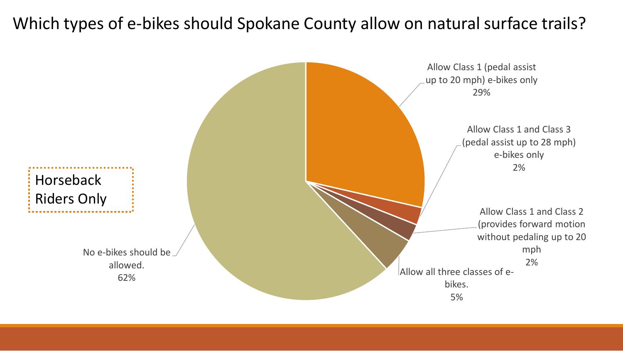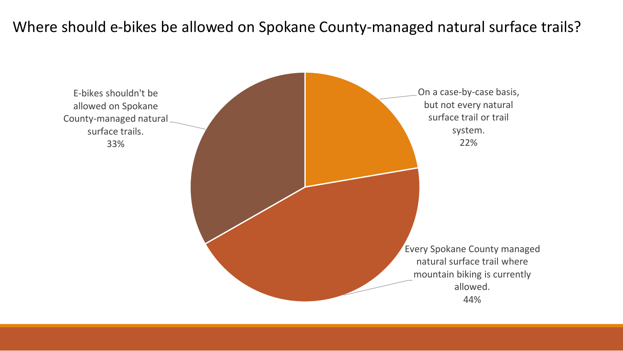#### Where should e-bikes be allowed on Spokane County-managed natural surface trails?

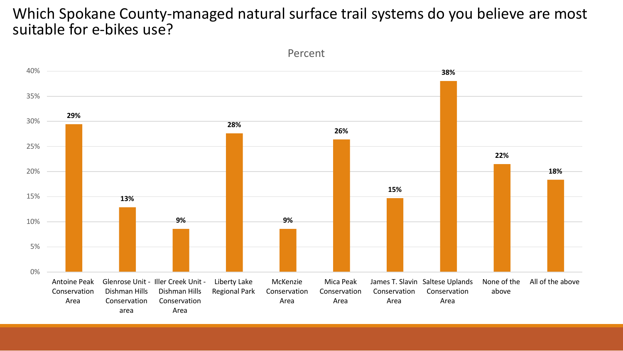#### Which Spokane County-managed natural surface trail systems do you believe are most suitable for e-bikes use?



Percent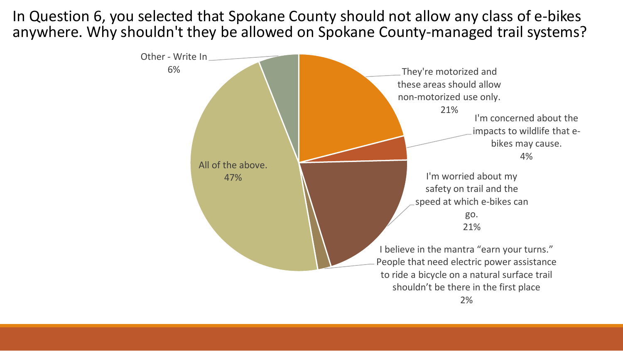In Question 6, you selected that Spokane County should not allow any class of e-bikes anywhere. Why shouldn't they be allowed on Spokane County-managed trail systems?

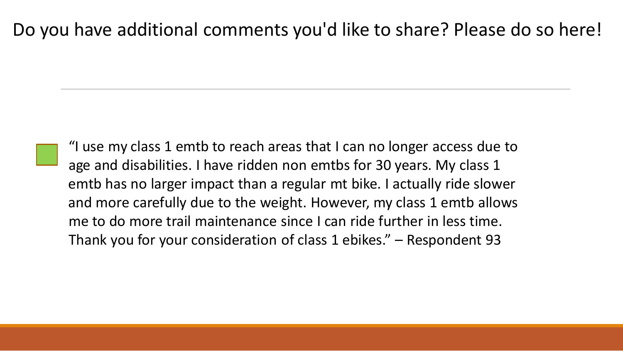"I use my class 1 emtb to reach areas that I can no longer access due to age and disabilities. I have ridden non emtbs for 30 years. My class 1 emtb has no larger impact than a regular mt bike. I actually ride slower and more carefully due to the weight. However, my class 1 emtb allows me to do more trail maintenance since I can ride further in less time. Thank you for your consideration of class 1 ebikes." – Respondent 93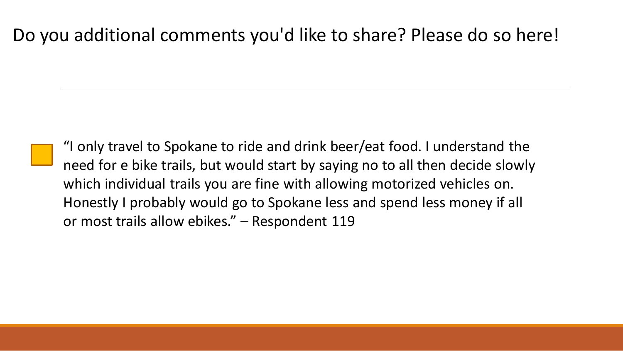"I only travel to Spokane to ride and drink beer/eat food. I understand the need for e bike trails, but would start by saying no to all then decide slowly which individual trails you are fine with allowing motorized vehicles on. Honestly I probably would go to Spokane less and spend less money if all or most trails allow ebikes." – Respondent 119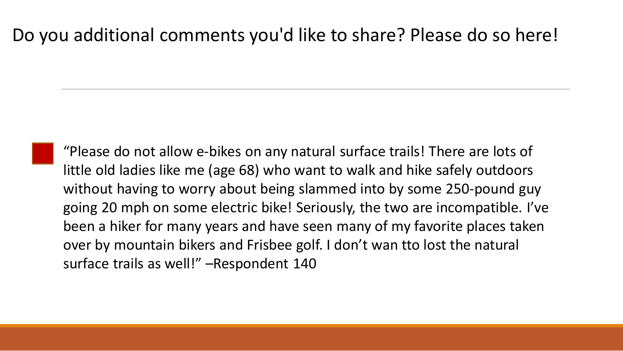"Please do not allow e-bikes on any natural surface trails! There are lots of little old ladies like me (age 68) who want to walk and hike safely outdoors without having to worry about being slammed into by some 250-pound guy going 20 mph on some electric bike! Seriously, the two are incompatible. I've been a hiker for many years and have seen many of my favorite places taken over by mountain bikers and Frisbee golf. I don't wan tto lost the natural surface trails as well!" –Respondent 140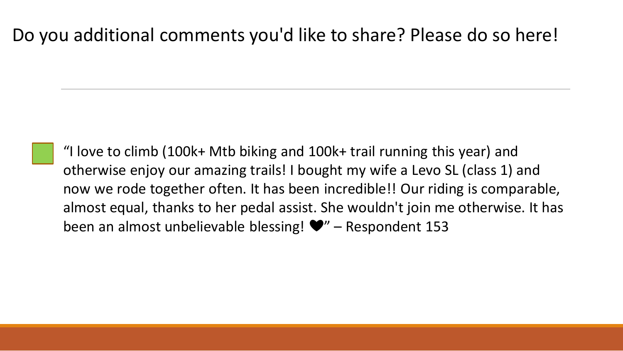"I love to climb (100k+ Mtb biking and 100k+ trail running this year) and otherwise enjoy our amazing trails! I bought my wife a Levo SL (class 1) and now we rode together often. It has been incredible!! Our riding is comparable, almost equal, thanks to her pedal assist. She wouldn't join me otherwise. It has been an almost unbelievable blessing! ❤" – Respondent 153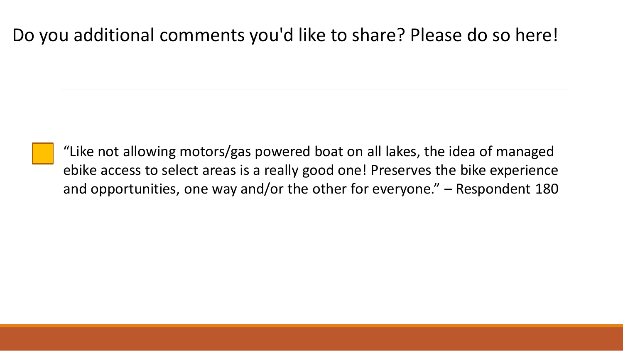"Like not allowing motors/gas powered boat on all lakes, the idea of managed ebike access to select areas is a really good one! Preserves the bike experience and opportunities, one way and/or the other for everyone." – Respondent 180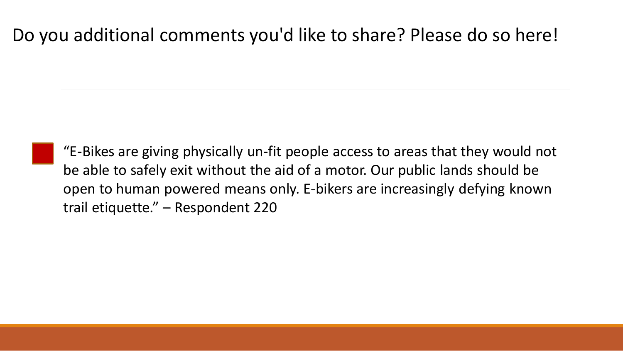"E-Bikes are giving physically un-fit people access to areas that they would not be able to safely exit without the aid of a motor. Our public lands should be open to human powered means only. E-bikers are increasingly defying known trail etiquette." – Respondent 220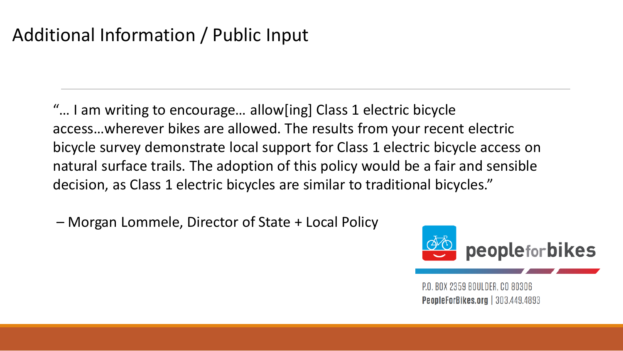### Additional Information / Public Input

"… I am writing to encourage… allow[ing] Class 1 electric bicycle access…wherever bikes are allowed. The results from your recent electric bicycle survey demonstrate local support for Class 1 electric bicycle access on natural surface trails. The adoption of this policy would be a fair and sensible decision, as Class 1 electric bicycles are similar to traditional bicycles."

– Morgan Lommele, Director of State + Local Policy



P.O. BOX 2359 BOULDER, CO 80306 **PeopleForBikes.org** | 303.449.4893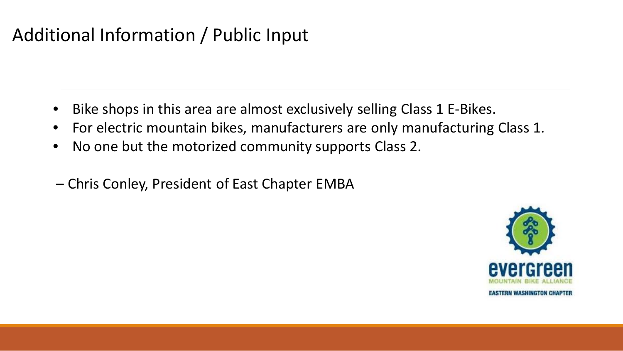### Additional Information / Public Input

- Bike shops in this area are almost exclusively selling Class 1 E-Bikes.
- For electric mountain bikes, manufacturers are only manufacturing Class 1.
- No one but the motorized community supports Class 2.
- Chris Conley, President of East Chapter EMBA

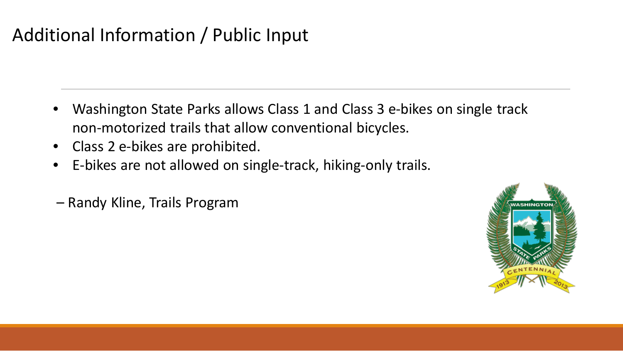### Additional Information / Public Input

- Washington State Parks allows Class 1 and Class 3 e-bikes on single track non-motorized trails that allow conventional bicycles.
- Class 2 e-bikes are prohibited.
- E-bikes are not allowed on single-track, hiking-only trails.
- Randy Kline, Trails Program

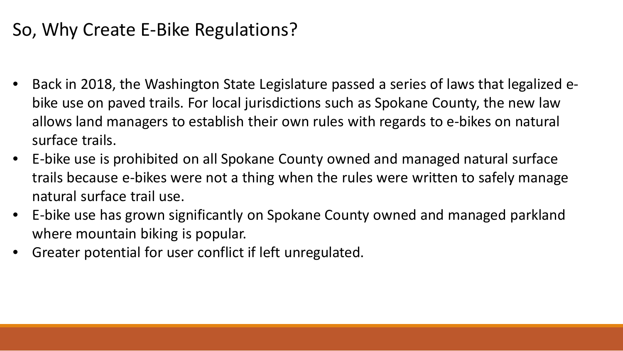### So, Why Create E-Bike Regulations?

- Back in 2018, the Washington State Legislature passed a series of laws that legalized ebike use on paved trails. For local jurisdictions such as Spokane County, the new law allows land managers to establish their own rules with regards to e-bikes on natural surface trails.
- E-bike use is prohibited on all Spokane County owned and managed natural surface trails because e-bikes were not a thing when the rules were written to safely manage natural surface trail use.
- E-bike use has grown significantly on Spokane County owned and managed parkland where mountain biking is popular.
- Greater potential for user conflict if left unregulated.